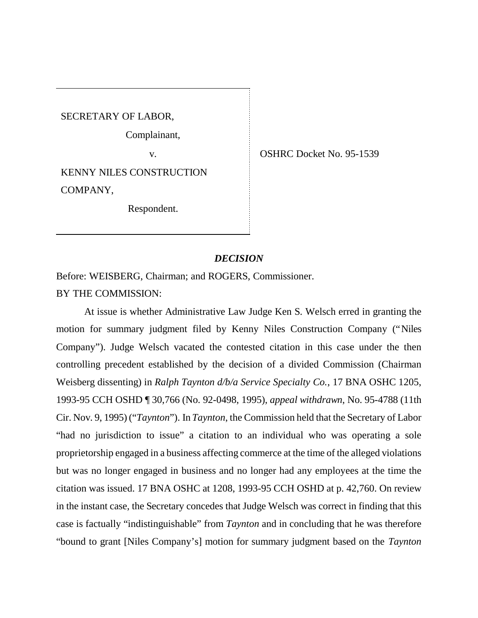SECRETARY OF LABOR,

Complainant,

KENNY NILES CONSTRUCTION COMPANY,

Respondent.

v. OSHRC Docket No. 95-1539

## *DECISION*

Before: WEISBERG, Chairman; and ROGERS, Commissioner. BY THE COMMISSION:

At issue is whether Administrative Law Judge Ken S. Welsch erred in granting the motion for summary judgment filed by Kenny Niles Construction Company ("Niles Company"). Judge Welsch vacated the contested citation in this case under the then controlling precedent established by the decision of a divided Commission (Chairman Weisberg dissenting) in *Ralph Taynton d/b/a Service Specialty Co.*, 17 BNA OSHC 1205, 1993-95 CCH OSHD ¶ 30,766 (No. 92-0498, 1995), *appeal withdrawn*, No. 95-4788 (11th Cir. Nov. 9, 1995) ("*Taynton*"). In *Taynton*, the Commission held that the Secretary of Labor "had no jurisdiction to issue" a citation to an individual who was operating a sole proprietorship engaged in a business affecting commerce at the time of the alleged violations but was no longer engaged in business and no longer had any employees at the time the citation was issued. 17 BNA OSHC at 1208, 1993-95 CCH OSHD at p. 42,760. On review in the instant case, the Secretary concedes that Judge Welsch was correct in finding that this case is factually "indistinguishable" from *Taynton* and in concluding that he was therefore "bound to grant [Niles Company's] motion for summary judgment based on the *Taynton*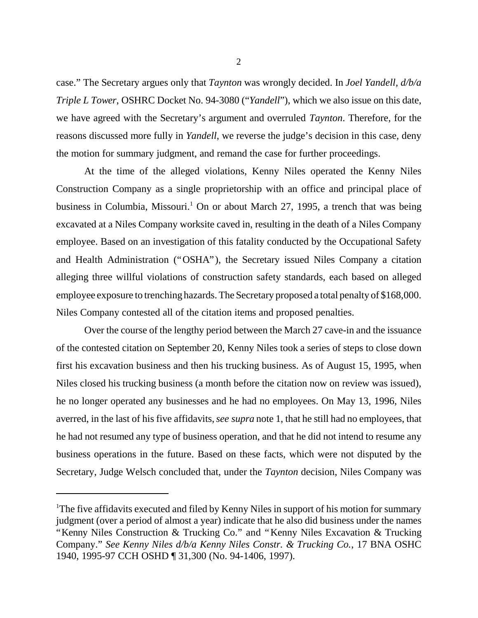case." The Secretary argues only that *Taynton* was wrongly decided. In *Joel Yandell, d/b/a Triple L Tower*, OSHRC Docket No. 94-3080 ("*Yandell*"), which we also issue on this date, we have agreed with the Secretary's argument and overruled *Taynton*. Therefore, for the reasons discussed more fully in *Yandell*, we reverse the judge's decision in this case, deny the motion for summary judgment, and remand the case for further proceedings.

At the time of the alleged violations, Kenny Niles operated the Kenny Niles Construction Company as a single proprietorship with an office and principal place of business in Columbia, Missouri.<sup>1</sup> On or about March 27, 1995, a trench that was being excavated at a Niles Company worksite caved in, resulting in the death of a Niles Company employee. Based on an investigation of this fatality conducted by the Occupational Safety and Health Administration ("OSHA"), the Secretary issued Niles Company a citation alleging three willful violations of construction safety standards, each based on alleged employee exposure to trenching hazards. The Secretary proposed a total penalty of \$168,000. Niles Company contested all of the citation items and proposed penalties.

Over the course of the lengthy period between the March 27 cave-in and the issuance of the contested citation on September 20, Kenny Niles took a series of steps to close down first his excavation business and then his trucking business. As of August 15, 1995, when Niles closed his trucking business (a month before the citation now on review was issued), he no longer operated any businesses and he had no employees. On May 13, 1996, Niles averred, in the last of his five affidavits, *see supra* note 1, that he still had no employees, that he had not resumed any type of business operation, and that he did not intend to resume any business operations in the future. Based on these facts, which were not disputed by the Secretary, Judge Welsch concluded that, under the *Taynton* decision, Niles Company was

<sup>&</sup>lt;sup>1</sup>The five affidavits executed and filed by Kenny Niles in support of his motion for summary judgment (over a period of almost a year) indicate that he also did business under the names "Kenny Niles Construction & Trucking Co." and "Kenny Niles Excavation & Trucking Company." *See Kenny Niles d/b/a Kenny Niles Constr. & Trucking Co.*, 17 BNA OSHC 1940, 1995-97 CCH OSHD ¶ 31,300 (No. 94-1406, 1997).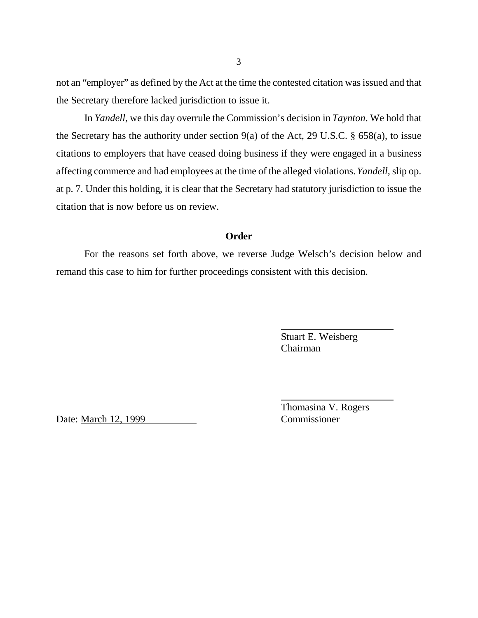not an "employer" as defined by the Act at the time the contested citation was issued and that the Secretary therefore lacked jurisdiction to issue it.

In *Yandell*, we this day overrule the Commission's decision in *Taynton*. We hold that the Secretary has the authority under section 9(a) of the Act, 29 U.S.C. § 658(a), to issue citations to employers that have ceased doing business if they were engaged in a business affecting commerce and had employees at the time of the alleged violations. *Yandell*, slip op. at p. 7. Under this holding, it is clear that the Secretary had statutory jurisdiction to issue the citation that is now before us on review.

### **Order**

For the reasons set forth above, we reverse Judge Welsch's decision below and remand this case to him for further proceedings consistent with this decision.

> Stuart E. Weisberg Chairman

Date: March 12, 1999 Commissioner

Thomasina V. Rogers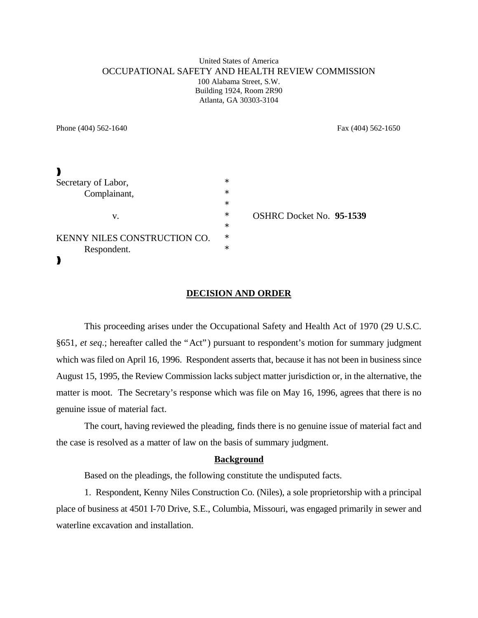#### United States of America OCCUPATIONAL SAFETY AND HEALTH REVIEW COMMISSION 100 Alabama Street, S.W. Building 1924, Room 2R90 Atlanta, GA 30303-3104

Phone (404) 562-1640 Fax (404) 562-1650

| Secretary of Labor,          | $\ast$ |                                 |
|------------------------------|--------|---------------------------------|
| Complainant,                 | $\ast$ |                                 |
|                              | $\ast$ |                                 |
| v.                           | $\ast$ | <b>OSHRC Docket No. 95-1539</b> |
|                              | $\ast$ |                                 |
| KENNY NILES CONSTRUCTION CO. | $\ast$ |                                 |
| Respondent.                  | $\ast$ |                                 |
|                              |        |                                 |

#### **DECISION AND ORDER**

This proceeding arises under the Occupational Safety and Health Act of 1970 (29 U.S.C. §651, *et seq*.; hereafter called the "Act") pursuant to respondent's motion for summary judgment which was filed on April 16, 1996. Respondent asserts that, because it has not been in business since August 15, 1995, the Review Commission lacks subject matter jurisdiction or, in the alternative, the matter is moot. The Secretary's response which was file on May 16, 1996, agrees that there is no genuine issue of material fact.

The court, having reviewed the pleading, finds there is no genuine issue of material fact and the case is resolved as a matter of law on the basis of summary judgment.

#### **Background**

Based on the pleadings, the following constitute the undisputed facts.

1. Respondent, Kenny Niles Construction Co. (Niles), a sole proprietorship with a principal place of business at 4501 I-70 Drive, S.E., Columbia, Missouri, was engaged primarily in sewer and waterline excavation and installation.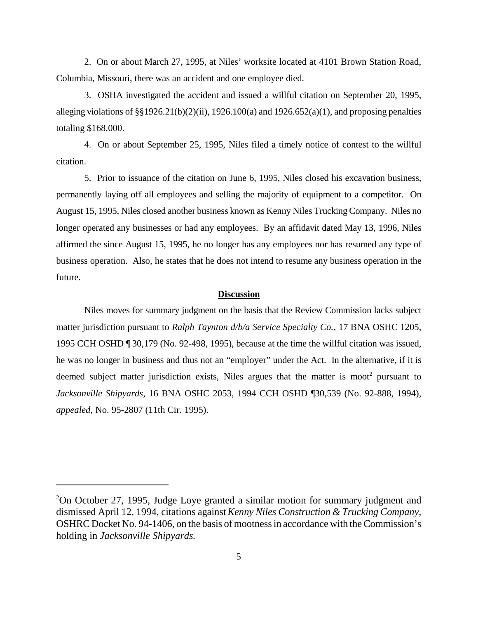2. On or about March 27, 1995, at Niles' worksite located at 4101 Brown Station Road, Columbia, Missouri, there was an accident and one employee died.

3. OSHA investigated the accident and issued a willful citation on September 20, 1995, alleging violations of  $\S$ [1926.21(b)(2)(ii), 1926.100(a) and 1926.652(a)(1), and proposing penalties totaling \$168,000.

4. On or about September 25, 1995, Niles filed a timely notice of contest to the willful citation.

5. Prior to issuance of the citation on June 6, 1995, Niles closed his excavation business, permanently laying off all employees and selling the majority of equipment to a competitor. On August 15, 1995, Niles closed another business known as Kenny Niles Trucking Company. Niles no longer operated any businesses or had any employees. By an affidavit dated May 13, 1996, Niles affirmed the since August 15, 1995, he no longer has any employees nor has resumed any type of business operation. Also, he states that he does not intend to resume any business operation in the future.

#### **Discussion**

Niles moves for summary judgment on the basis that the Review Commission lacks subject matter jurisdiction pursuant to *Ralph Taynton d/b/a Service Specialty Co.*, 17 BNA OSHC 1205, 1995 CCH OSHD ¶ 30,179 (No. 92-498, 1995), because at the time the willful citation was issued, he was no longer in business and thus not an "employer" under the Act. In the alternative, if it is deemed subject matter jurisdiction exists, Niles argues that the matter is moot<sup>2</sup> pursuant to *Jacksonville Shipyards*, 16 BNA OSHC 2053, 1994 CCH OSHD ¶30,539 (No. 92-888, 1994), *appealed*, No. 95-2807 (11th Cir. 1995).

<sup>2</sup>On October 27, 1995, Judge Loye granted a similar motion for summary judgment and dismissed April 12, 1994, citations against *Kenny Niles Construction & Trucking Company*, OSHRC Docket No. 94-1406, on the basis of mootness in accordance with the Commission's holding in *Jacksonville Shipyards.*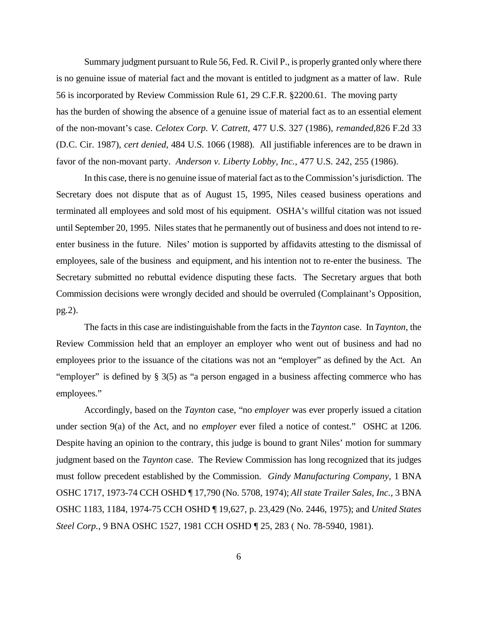Summary judgment pursuant to Rule 56, Fed. R. Civil P., is properly granted only where there is no genuine issue of material fact and the movant is entitled to judgment as a matter of law. Rule 56 is incorporated by Review Commission Rule 61, 29 C.F.R. §2200.61. The moving party has the burden of showing the absence of a genuine issue of material fact as to an essential element of the non-movant's case. *Celotex Corp. V. Catrett*, 477 U.S. 327 (1986), *remanded,*826 F.2d 33 (D.C. Cir. 1987), *cert denied*, 484 U.S. 1066 (1988). All justifiable inferences are to be drawn in favor of the non-movant party. *Anderson v. Liberty Lobby, Inc.*, 477 U.S. 242, 255 (1986).

In this case, there is no genuine issue of material fact as to the Commission's jurisdiction. The Secretary does not dispute that as of August 15, 1995, Niles ceased business operations and terminated all employees and sold most of his equipment. OSHA's willful citation was not issued until September 20, 1995. Niles states that he permanently out of business and does not intend to reenter business in the future. Niles' motion is supported by affidavits attesting to the dismissal of employees, sale of the business and equipment, and his intention not to re-enter the business. The Secretary submitted no rebuttal evidence disputing these facts. The Secretary argues that both Commission decisions were wrongly decided and should be overruled (Complainant's Opposition, pg.2).

The facts in this case are indistinguishable from the facts in the *Taynton* case. In *Taynton*, the Review Commission held that an employer an employer who went out of business and had no employees prior to the issuance of the citations was not an "employer" as defined by the Act. An "employer" is defined by § 3(5) as "a person engaged in a business affecting commerce who has employees."

Accordingly, based on the *Taynton* case, "no *employer* was ever properly issued a citation under section 9(a) of the Act, and no *employer* ever filed a notice of contest." OSHC at 1206. Despite having an opinion to the contrary, this judge is bound to grant Niles' motion for summary judgment based on the *Taynton* case. The Review Commission has long recognized that its judges must follow precedent established by the Commission. *Gindy Manufacturing Company*, 1 BNA OSHC 1717, 1973-74 CCH OSHD ¶ 17,790 (No. 5708, 1974); *All state Trailer Sales, Inc.*, 3 BNA OSHC 1183, 1184, 1974-75 CCH OSHD ¶ 19,627, p. 23,429 (No. 2446, 1975); and *United States Steel Corp.*, 9 BNA OSHC 1527, 1981 CCH OSHD ¶ 25, 283 ( No. 78-5940, 1981).